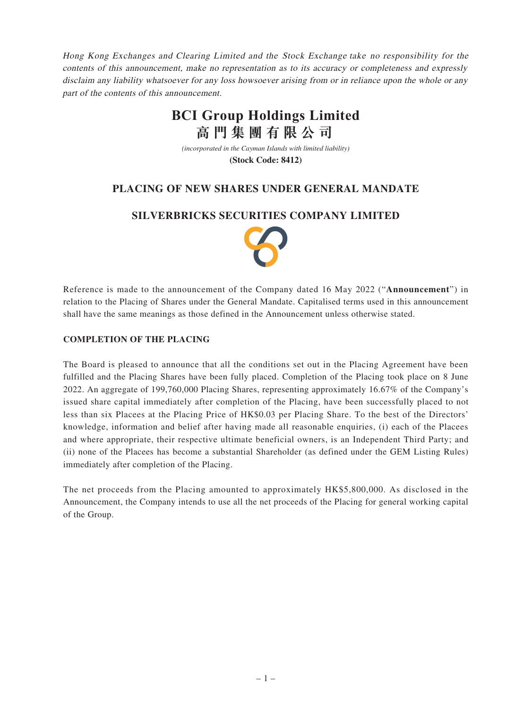Hong Kong Exchanges and Clearing Limited and the Stock Exchange take no responsibility for the contents of this announcement, make no representation as to its accuracy or completeness and expressly disclaim any liability whatsoever for any loss howsoever arising from or in reliance upon the whole or any part of the contents of this announcement.

# **BCI Group Holdings Limited 高門集團有限公司**

*(incorporated in the Cayman Islands with limited liability)*

**(Stock Code: 8412)**

### **PLACING OF NEW SHARES UNDER GENERAL MANDATE**

#### **SILVERBRICKS SECURITIES COMPANY LIMITED**



Reference is made to the announcement of the Company dated 16 May 2022 ("**Announcement**") in relation to the Placing of Shares under the General Mandate. Capitalised terms used in this announcement shall have the same meanings as those defined in the Announcement unless otherwise stated.

#### **COMPLETION OF THE PLACING**

The Board is pleased to announce that all the conditions set out in the Placing Agreement have been fulfilled and the Placing Shares have been fully placed. Completion of the Placing took place on 8 June 2022. An aggregate of 199,760,000 Placing Shares, representing approximately 16.67% of the Company's issued share capital immediately after completion of the Placing, have been successfully placed to not less than six Placees at the Placing Price of HK\$0.03 per Placing Share. To the best of the Directors' knowledge, information and belief after having made all reasonable enquiries, (i) each of the Placees and where appropriate, their respective ultimate beneficial owners, is an Independent Third Party; and (ii) none of the Placees has become a substantial Shareholder (as defined under the GEM Listing Rules) immediately after completion of the Placing.

The net proceeds from the Placing amounted to approximately HK\$5,800,000. As disclosed in the Announcement, the Company intends to use all the net proceeds of the Placing for general working capital of the Group.